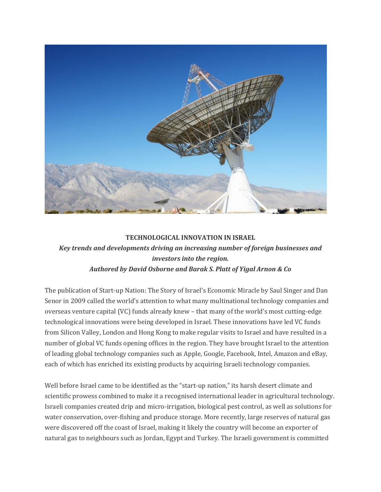

## **TECHNOLOGICAL INNOVATION IN ISRAEL**

## *Key trends and developments driving an increasing number of foreign businesses and investors into the region. Authored by David Osborne and Barak S. Platt of Yigal Arnon & Co*

The publication of Start-up Nation: The Story of Israel's Economic Miracle by Saul Singer and Dan Senor in 2009 called the world's attention to what many multinational technology companies and overseas venture capital (VC) funds already knew – that many of the world's most cutting-edge technological innovations were being developed in Israel. These innovations have led VC funds from Silicon Valley, London and Hong Kong to make regular visits to Israel and have resulted in a number of global VC funds opening offices in the region. They have brought Israel to the attention of leading global technology companies such as Apple, Google, Facebook, Intel, Amazon and eBay, each of which has enriched its existing products by acquiring Israeli technology companies.

Well before Israel came to be identified as the "start-up nation," its harsh desert climate and scientific prowess combined to make it a recognised international leader in agricultural technology. Israeli companies created drip and micro-irrigation, biological pest control, as well as solutions for water conservation, over-fishing and produce storage. More recently, large reserves of natural gas were discovered off the coast of Israel, making it likely the country will become an exporter of natural gas to neighbours such as Jordan, Egypt and Turkey. The Israeli government is committed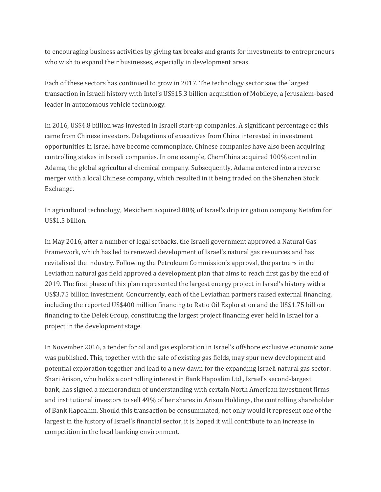to encouraging business activities by giving tax breaks and grants for investments to entrepreneurs who wish to expand their businesses, especially in development areas.

Each of these sectors has continued to grow in 2017. The technology sector saw the largest transaction in Israeli history with Intel's US\$15.3 billion acquisition of Mobileye, a Jerusalem-based leader in autonomous vehicle technology.

In 2016, US\$4.8 billion was invested in Israeli start-up companies. A significant percentage of this came from Chinese investors. Delegations of executives from China interested in investment opportunities in Israel have become commonplace. Chinese companies have also been acquiring controlling stakes in Israeli companies. In one example, ChemChina acquired 100% control in Adama, the global agricultural chemical company. Subsequently, Adama entered into a reverse merger with a local Chinese company, which resulted in it being traded on the Shenzhen Stock Exchange.

In agricultural technology, Mexichem acquired 80% of Israel's drip irrigation company Netafim for US\$1.5 billion.

In May 2016, after a number of legal setbacks, the Israeli government approved a Natural Gas Framework, which has led to renewed development of Israel's natural gas resources and has revitalised the industry. Following the Petroleum Commission's approval, the partners in the Leviathan natural gas field approved a development plan that aims to reach first gas by the end of 2019. The first phase of this plan represented the largest energy project in Israel's history with a US\$3.75 billion investment. Concurrently, each of the Leviathan partners raised external financing, including the reported US\$400 million financing to Ratio Oil Exploration and the US\$1.75 billion financing to the Delek Group, constituting the largest project financing ever held in Israel for a project in the development stage.

In November 2016, a tender for oil and gas exploration in Israel's offshore exclusive economic zone was published. This, together with the sale of existing gas fields, may spur new development and potential exploration together and lead to a new dawn for the expanding Israeli natural gas sector. Shari Arison, who holds a controlling interest in Bank Hapoalim Ltd., Israel's second-largest bank, has signed a memorandum of understanding with certain North American investment firms and institutional investors to sell 49% of her shares in Arison Holdings, the controlling shareholder of Bank Hapoalim. Should this transaction be consummated, not only would it represent one of the largest in the history of Israel's financial sector, it is hoped it will contribute to an increase in competition in the local banking environment.